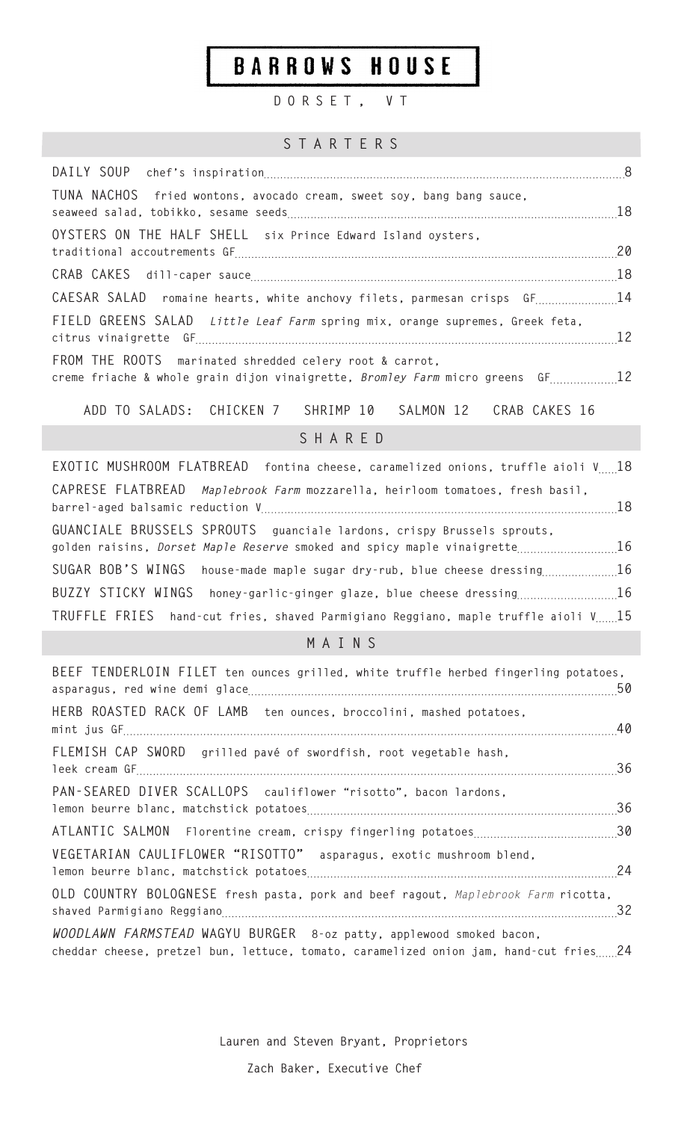# **BARROWS HOUSE**

**D O R S E T , V T** 

#### **STARTERS**

| TUNA NACHOS fried wontons, avocado cream, sweet soy, bang bang sauce,                                                                     |  |
|-------------------------------------------------------------------------------------------------------------------------------------------|--|
| OYSTERS ON THE HALF SHELL six Prince Edward Island oysters,                                                                               |  |
|                                                                                                                                           |  |
|                                                                                                                                           |  |
| CAESAR SALAD romaine hearts, white anchovy filets, parmesan crisps GF14                                                                   |  |
| FIELD GREENS SALAD Little Leaf Farm spring mix, orange supremes, Greek feta,                                                              |  |
|                                                                                                                                           |  |
| FROM THE ROOTS marinated shredded celery root & carrot,<br>creme friache & whole grain dijon vinaigrette, Bromley Farm micro greens GF 12 |  |

 **ADD TO SALADS: CHICKEN 7 SHRIMP 10 SALMON 12 CRAB CAKES 16** 

# **S H A R E D**

EXOTIC MUSHROOM FLATBREAD fontina cheese, caramelized onions, truffle aioli V.....18 **CAPRESE FLATBREAD** *Maplebrook Farm* **mozzarella, heirloom tomatoes, fresh basil, barrel-aged balsamic reduction V 18 GUANCIALE BRUSSELS SPROUTS guanciale lardons, crispy Brussels sprouts, golden raisins,** *Dorset Maple Reserve* **smoked and spicy maple vinaigrette 16 SUGAR BOB'S WINGS house-made maple sugar dry-rub, blue cheese dressing 16 BUZZY STICKY WINGS honey-garlic-ginger glaze, blue cheese dressing 16 TRUFFLE FRIES hand-cut fries, shaved Parmigiano Reggiano, maple truffle aioli V 15**

### **MAINS**

| BEEF TENDERLOIN FILET ten ounces grilled, white truffle herbed fingerling potatoes,                                                                          |    |
|--------------------------------------------------------------------------------------------------------------------------------------------------------------|----|
| HERB ROASTED RACK OF LAMB ten ounces, broccolini, mashed potatoes,                                                                                           |    |
| FLEMISH CAP SWORD grilled pavé of swordfish, root vegetable hash,                                                                                            | 36 |
| PAN-SEARED DIVER SCALLOPS cauliflower "risotto", bacon lardons,                                                                                              | 36 |
|                                                                                                                                                              |    |
| VEGETARIAN CAULIFLOWER "RISOTTO" asparagus, exotic mushroom blend,                                                                                           |    |
| OLD COUNTRY BOLOGNESE fresh pasta, pork and beef ragout, Maplebrook Farm ricotta,                                                                            |    |
| WOODLAWN FARMSTEAD WAGYU BURGER 8-oz patty, applewood smoked bacon,<br>cheddar cheese, pretzel bun, lettuce, tomato, caramelized onion jam, hand-cut fries24 |    |